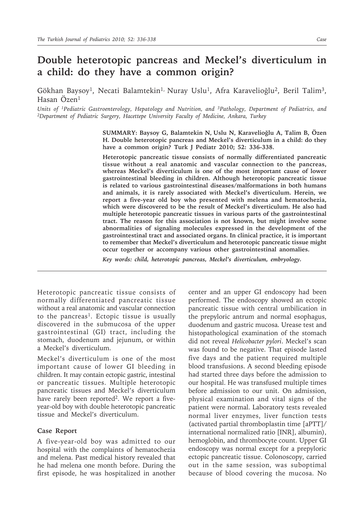## **Double heterotopic pancreas and Meckel's diverticulum in a child: do they have a common origin?**

Gökhan Baysoy<sup>1</sup>, Necati Balamtekin<sup>1,</sup> Nuray Uslu<sup>1</sup>, Afra Karavelioğlu<sup>2</sup>, Beril Talim<sup>3</sup>, Hasan Özen1

*Units of <sup>1</sup>Pediatric Gastroenterology, Hepatology and Nutrition, and <sup>3</sup>Pathology, Department of Pediatrics, and<br><sup>2</sup>Department of Pediatric Surgery, Hacettepe University Faculty of Medicine, Ankara, Turkey* 

**SUMMARY: Baysoy G, Balamtekin N, Uslu N, Karavelioğlu A, Talim B, Özen H. Double heterotopic pancreas and Meckel's diverticulum in a child: do they have a common origin? Turk J Pediatr 2010; 52: 336-338.**

**Heterotopic pancreatic tissue consists of normally differentiated pancreatic tissue without a real anatomic and vascular connection to the pancreas, whereas Meckel's diverticulum is one of the most important cause of lower gastrointestinal bleeding in children. Although heterotopic pancreatic tissue is related to various gastrointestinal diseases/malformations in both humans and animals, it is rarely associated with Meckel's diverticulum. Herein, we report a five-year old boy who presented with melena and hematochezia, which were discovered to be the result of Meckel's diverticulum. He also had multiple heterotopic pancreatic tissues in various parts of the gastrointestinal tract. The reason for this association is not known, but might involve some abnormalities of signaling molecules expressed in the development of the gastrointestinal tract and associated organs. In clinical practice, it is important to remember that Meckel's diverticulum and heterotopic pancreatic tissue might occur together or accompany various other gastrointestinal anomalies.**

*Key words: child, heterotopic pancreas, Meckel's diverticulum, embryology.*

Heterotopic pancreatic tissue consists of normally differentiated pancreatic tissue without a real anatomic and vascular connection to the pancreas<sup>1</sup>. Ectopic tissue is usually discovered in the submucosa of the upper gastrointestinal (GI) tract, including the stomach, duodenum and jejunum, or within a Meckel's diverticulum.

Meckel's diverticulum is one of the most important cause of lower GI bleeding in children. It may contain ectopic gastric, intestinal or pancreatic tissues. Multiple heterotopic pancreatic tissues and Meckel's diverticulum have rarely been reported<sup>2</sup>. We report a fiveyear-old boy with double heterotopic pancreatic tissue and Meckel's diverticulum.

## **Case Report**

A five-year-old boy was admitted to our hospital with the complaints of hematochezia and melena. Past medical history revealed that he had melena one month before. During the first episode, he was hospitalized in another center and an upper GI endoscopy had been performed. The endoscopy showed an ectopic pancreatic tissue with central umbilication in the prepyloric antrum and normal esophagus, duodenum and gastric mucosa. Urease test and histopathological examination of the stomach did not reveal *Helicobacter pylori*. Meckel's scan was found to be negative. That episode lasted five days and the patient required multiple blood transfusions. A second bleeding episode had started three days before the admission to our hospital. He was transfused multiple times before admission to our unit. On admission, physical examination and vital signs of the patient were normal. Laboratory tests revealed normal liver enzymes, liver function tests (activated partial thromboplastin time [aPTT]/ international normalized ratio [INR], albumin), hemoglobin, and thrombocyte count. Upper GI endoscopy was normal except for a prepyloric ectopic pancreatic tissue. Colonoscopy, carried out in the same session, was suboptimal because of blood covering the mucosa. No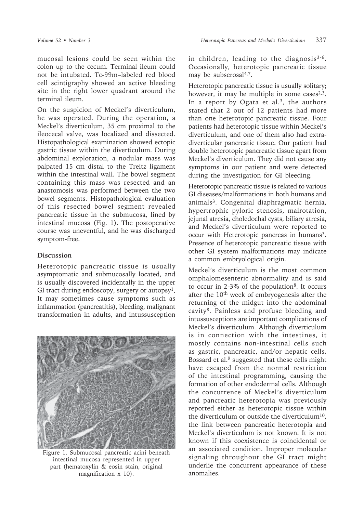mucosal lesions could be seen within the colon up to the cecum. Terminal ileum could not be intubated. Tc-99m–labeled red blood cell scintigraphy showed an active bleeding site in the right lower quadrant around the terminal ileum.

On the suspicion of Meckel's diverticulum, he was operated. During the operation, a Meckel's diverticulum, 35 cm proximal to the ileocecal valve, was localized and dissected. Histopathological examination showed ectopic gastric tissue within the diverticulum. During abdominal exploration, a nodular mass was palpated 15 cm distal to the Treitz ligament within the intestinal wall. The bowel segment containing this mass was resected and an anastomosis was performed between the two bowel segments. Histopathological evaluation of this resected bowel segment revealed pancreatic tissue in the submucosa, lined by intestinal mucosa (Fig. 1). The postoperative course was uneventful, and he was discharged symptom-free.

## **Discussion**

Heterotopic pancreatic tissue is usually asymptomatic and submucosally located, and is usually discovered incidentally in the upper GI tract during endoscopy, surgery or autopsy<sup>1</sup>. It may sometimes cause symptoms such as inflammation (pancreatitis), bleeding, malignant transformation in adults, and intussusception



Figure 1. Submucosal pancreatic acini beneath intestinal mucosa represented in upper part (hematoxylin & eosin stain, original magnification x 10).

in children, leading to the diagnosis<sup>3-6</sup>. Occasionally, heterotopic pancreatic tissue may be subserosal<sup>4,7</sup>.

Heterotopic pancreatic tissue is usually solitary; however, it may be multiple in some cases $2,3$ . In a report by Ogata et al.<sup>3</sup>, the authors stated that 2 out of 12 patients had more than one heterotopic pancreatic tissue. Four patients had heterotopic tissue within Meckel's diverticulum, and one of them also had extradiverticular pancreatic tissue. Our patient had double heterotopic pancreatic tissue apart from Meckel's diverticulum. They did not cause any symptoms in our patient and were detected during the investigation for GI bleeding.

Heterotopic pancreatic tissue is related to various GI diseases/malformations in both humans and animals3. Congenital diaphragmatic hernia, hypertrophic pyloric stenosis, malrotation, jejunal atresia, choledochal cysts, biliary atresia, and Meckel's diverticulum were reported to occur with Heterotopic pancreas in humans<sup>3</sup>. Presence of heterotopic pancreatic tissue with other GI system malformations may indicate a common embryological origin.

Meckel's diverticulum is the most common omphalomesenteric abnormality and is said to occur in 2-3% of the population<sup>8</sup>. It occurs after the 10<sup>th</sup> week of embryogenesis after the returning of the midgut into the abdominal cavity8. Painless and profuse bleeding and intussusceptions are important complications of Meckel's diverticulum. Although diverticulum is in connection with the intestines, it mostly contains non-intestinal cells such as gastric, pancreatic, and/or hepatic cells. Bossard et al.<sup>9</sup> suggested that these cells might have escaped from the normal restriction of the intestinal programming, causing the formation of other endodermal cells. Although the concurrence of Meckel's diverticulum and pancreatic heterotopia was previously reported either as heterotopic tissue within the diverticulum or outside the diverticulum<sup>10</sup>, the link between pancreatic heterotopia and Meckel's diverticulum is not known. It is not known if this coexistence is coincidental or an associated condition. Improper molecular signaling throughout the GI tract might underlie the concurrent appearance of these anomalies.